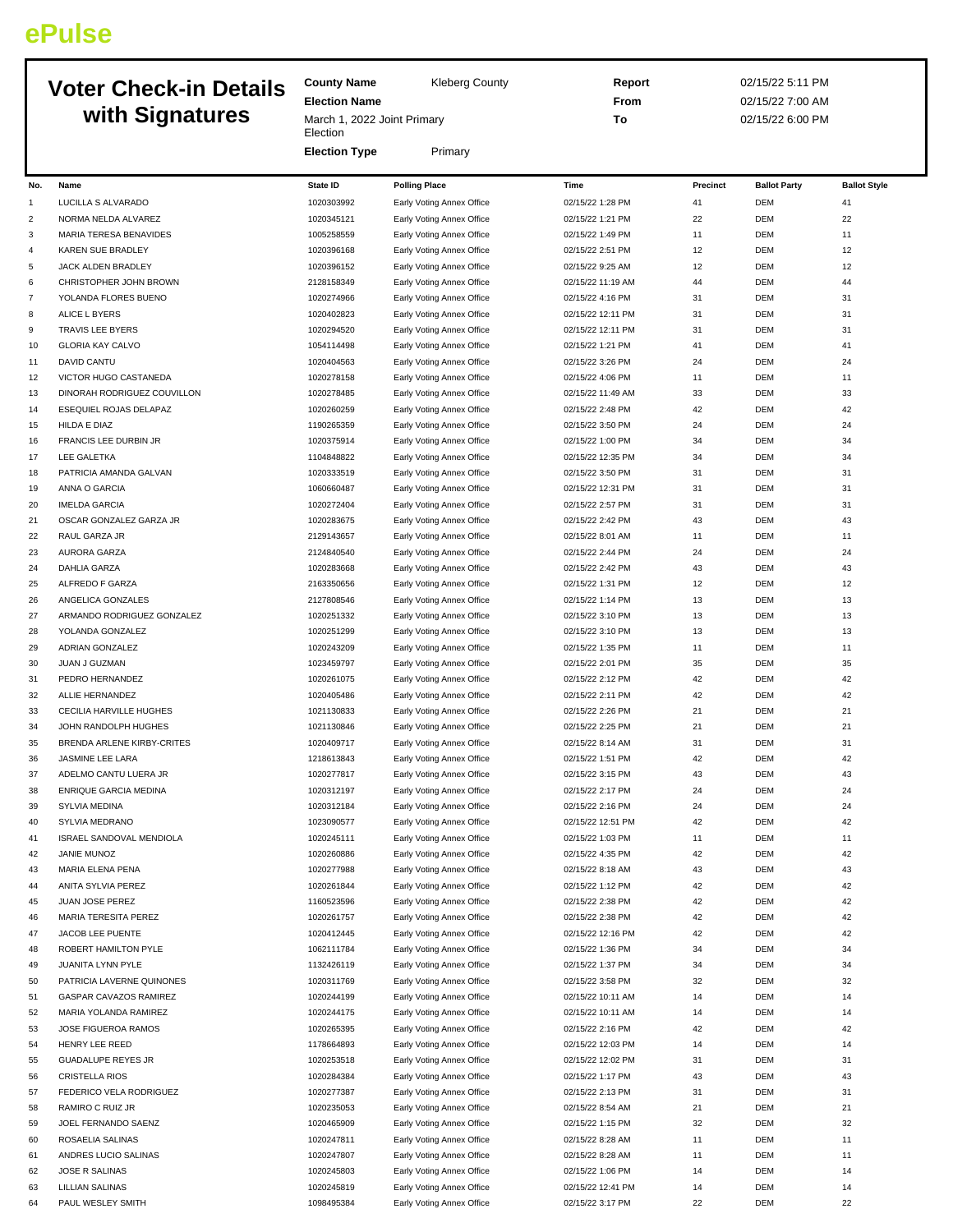## **ePulse**

## **Voter Check-in Details**

|                 | <b>Voter Check-in Details</b>                              | <b>County Name</b>                      | Kleberg County                                         | Report                                |          | 02/15/22 5:11 PM         |                     |  |
|-----------------|------------------------------------------------------------|-----------------------------------------|--------------------------------------------------------|---------------------------------------|----------|--------------------------|---------------------|--|
|                 |                                                            | <b>Election Name</b>                    |                                                        | From                                  |          | 02/15/22 7:00 AM         |                     |  |
| with Signatures |                                                            | March 1, 2022 Joint Primary<br>Election |                                                        | To                                    |          | 02/15/22 6:00 PM         |                     |  |
|                 |                                                            | <b>Election Type</b>                    | Primary                                                |                                       |          |                          |                     |  |
| No.             | Name                                                       | State ID                                | <b>Polling Place</b>                                   | Time                                  | Precinct | <b>Ballot Party</b>      | <b>Ballot Style</b> |  |
| 1               | LUCILLA S ALVARADO                                         | 1020303992                              | Early Voting Annex Office                              | 02/15/22 1:28 PM                      | 41       | <b>DEM</b>               | 41                  |  |
| 2               | NORMA NELDA ALVAREZ                                        | 1020345121                              | Early Voting Annex Office                              | 02/15/22 1:21 PM                      | 22       | <b>DEM</b>               | 22                  |  |
| 3               | MARIA TERESA BENAVIDES                                     | 1005258559                              | Early Voting Annex Office                              | 02/15/22 1:49 PM                      | 11       | <b>DEM</b>               | 11                  |  |
| 4               | <b>KAREN SUE BRADLEY</b>                                   | 1020396168                              | Early Voting Annex Office                              | 02/15/22 2:51 PM                      | 12       | <b>DEM</b>               | 12                  |  |
| 5               | JACK ALDEN BRADLEY                                         | 1020396152                              | Early Voting Annex Office                              | 02/15/22 9:25 AM                      | 12       | <b>DEM</b>               | 12                  |  |
| 6               | CHRISTOPHER JOHN BROWN                                     | 2128158349                              | Early Voting Annex Office                              | 02/15/22 11:19 AM                     | 44       | <b>DEM</b>               | 44                  |  |
| 7               | YOLANDA FLORES BUENO                                       | 1020274966                              | Early Voting Annex Office                              | 02/15/22 4:16 PM                      | 31       | <b>DEM</b>               | 31                  |  |
| 8               | ALICE L BYERS                                              | 1020402823                              | Early Voting Annex Office                              | 02/15/22 12:11 PM                     | 31       | <b>DEM</b>               | 31                  |  |
| 9               | TRAVIS LEE BYERS                                           | 1020294520                              | Early Voting Annex Office                              | 02/15/22 12:11 PM                     | 31       | <b>DEM</b>               | 31                  |  |
| 10              | <b>GLORIA KAY CALVO</b>                                    | 1054114498                              | Early Voting Annex Office                              | 02/15/22 1:21 PM                      | 41       | <b>DEM</b>               | 41                  |  |
| 11              | DAVID CANTU                                                | 1020404563                              | Early Voting Annex Office                              | 02/15/22 3:26 PM                      | 24       | <b>DEM</b>               | 24                  |  |
| 12              | VICTOR HUGO CASTANEDA                                      | 1020278158                              | Early Voting Annex Office                              | 02/15/22 4:06 PM                      | 11       | <b>DEM</b>               | 11                  |  |
| 13              | DINORAH RODRIGUEZ COUVILLON                                | 1020278485                              | Early Voting Annex Office                              | 02/15/22 11:49 AM                     | 33       | <b>DEM</b>               | 33                  |  |
| 14              | ESEQUIEL ROJAS DELAPAZ                                     | 1020260259                              | Early Voting Annex Office                              | 02/15/22 2:48 PM                      | 42       | <b>DEM</b>               | 42                  |  |
| 15              | HILDA E DIAZ                                               | 1190265359                              | Early Voting Annex Office                              | 02/15/22 3:50 PM                      | 24       | <b>DEM</b>               | 24                  |  |
| 16              | FRANCIS LEE DURBIN JR                                      | 1020375914                              | Early Voting Annex Office                              | 02/15/22 1:00 PM                      | 34       | DEM                      | 34                  |  |
| 17              | LEE GALETKA                                                | 1104848822                              | Early Voting Annex Office                              | 02/15/22 12:35 PM                     | 34       | <b>DEM</b>               | 34                  |  |
| 18              | PATRICIA AMANDA GALVAN                                     | 1020333519                              | Early Voting Annex Office                              | 02/15/22 3:50 PM                      | 31       | <b>DEM</b>               | 31                  |  |
| 19              | ANNA O GARCIA                                              | 1060660487                              | Early Voting Annex Office                              | 02/15/22 12:31 PM                     | 31       | <b>DEM</b>               | 31                  |  |
| 20              | <b>IMELDA GARCIA</b>                                       | 1020272404                              | Early Voting Annex Office                              | 02/15/22 2:57 PM                      | 31       | <b>DEM</b>               | 31                  |  |
| 21              | OSCAR GONZALEZ GARZA JR                                    | 1020283675                              | Early Voting Annex Office                              | 02/15/22 2:42 PM                      | 43       | <b>DEM</b>               | 43                  |  |
| 22              | RAUL GARZA JR                                              | 2129143657                              | Early Voting Annex Office                              | 02/15/22 8:01 AM                      | 11       | <b>DEM</b>               | 11                  |  |
| 23              | AURORA GARZA                                               | 2124840540                              | Early Voting Annex Office                              | 02/15/22 2:44 PM                      | 24       | <b>DEM</b>               | 24                  |  |
| 24              | DAHLIA GARZA                                               | 1020283668                              | Early Voting Annex Office                              | 02/15/22 2:42 PM                      | 43       | <b>DEM</b>               | 43                  |  |
| 25              | ALFREDO F GARZA                                            | 2163350656                              | Early Voting Annex Office                              | 02/15/22 1:31 PM                      | 12       | <b>DEM</b>               | 12                  |  |
| 26              | ANGELICA GONZALES                                          | 2127808546                              | Early Voting Annex Office                              | 02/15/22 1:14 PM                      | 13       | DEM                      | 13                  |  |
| 27              | ARMANDO RODRIGUEZ GONZALEZ                                 | 1020251332                              | Early Voting Annex Office                              | 02/15/22 3:10 PM                      | 13       | <b>DEM</b>               | 13                  |  |
| 28              | YOLANDA GONZALEZ                                           | 1020251299                              | Early Voting Annex Office                              | 02/15/22 3:10 PM                      | 13       | <b>DEM</b>               | 13                  |  |
| 29              | ADRIAN GONZALEZ                                            | 1020243209                              | Early Voting Annex Office                              | 02/15/22 1:35 PM                      | 11       | <b>DEM</b>               | 11                  |  |
| 30              | JUAN J GUZMAN                                              | 1023459797                              | Early Voting Annex Office                              | 02/15/22 2:01 PM                      | 35       | <b>DEM</b>               | 35                  |  |
| 31              | PEDRO HERNANDEZ                                            | 1020261075                              | Early Voting Annex Office                              | 02/15/22 2:12 PM                      | 42       | <b>DEM</b>               | 42                  |  |
| 32              | ALLIE HERNANDEZ                                            | 1020405486                              | Early Voting Annex Office                              | 02/15/22 2:11 PM                      | 42       | <b>DEM</b>               | 42                  |  |
| 33              | CECILIA HARVILLE HUGHES                                    | 1021130833                              | Early Voting Annex Office                              | 02/15/22 2:26 PM                      | 21       | <b>DEM</b>               | 21                  |  |
| 34              | JOHN RANDOLPH HUGHES                                       | 1021130846                              | Early Voting Annex Office                              | 02/15/22 2:25 PM                      | 21       | <b>DEM</b>               | 21                  |  |
| 35              | BRENDA ARLENE KIRBY-CRITES                                 | 1020409717                              | Early Voting Annex Office                              | 02/15/22 8:14 AM                      | 31       | <b>DEM</b>               | 31                  |  |
| 36              | JASMINE LEE LARA                                           | 1218613843                              | Early Voting Annex Office                              | 02/15/22 1:51 PM                      | 42       | <b>DEM</b>               | 42                  |  |
| 37              | ADELMO CANTU LUERA JR                                      | 1020277817                              | Early Voting Annex Office                              | 02/15/22 3:15 PM                      | 43       | DEM                      | 43                  |  |
| 38              | ENRIQUE GARCIA MEDINA                                      | 1020312197                              | Early Voting Annex Office                              | 02/15/22 2:17 PM                      | 24       | <b>DEM</b>               | 24                  |  |
| 39              | SYLVIA MEDINA                                              | 1020312184                              | Early Voting Annex Office                              | 02/15/22 2:16 PM                      | 24       | <b>DEM</b>               | 24                  |  |
| 40              | SYLVIA MEDRANO                                             | 1023090577                              | Early Voting Annex Office                              | 02/15/22 12:51 PM                     | 42       | <b>DEM</b>               | 42                  |  |
| 41              | ISRAEL SANDOVAL MENDIOLA                                   | 1020245111                              | Early Voting Annex Office                              | 02/15/22 1:03 PM                      | 11       | <b>DEM</b>               | 11                  |  |
| 42              | JANIE MUNOZ                                                | 1020260886                              | Early Voting Annex Office                              | 02/15/22 4:35 PM                      | 42       | DEM                      | 42                  |  |
| 43              | MARIA ELENA PENA                                           | 1020277988                              | Early Voting Annex Office                              | 02/15/22 8:18 AM                      | 43       | <b>DEM</b>               | 43                  |  |
| 44              | ANITA SYLVIA PEREZ                                         | 1020261844                              | Early Voting Annex Office                              | 02/15/22 1:12 PM                      | 42       | DEM                      | 42                  |  |
| 45              | JUAN JOSE PEREZ                                            | 1160523596                              | Early Voting Annex Office                              | 02/15/22 2:38 PM                      | 42       | <b>DEM</b>               | 42                  |  |
| 46              | MARIA TERESITA PEREZ                                       | 1020261757                              | Early Voting Annex Office                              | 02/15/22 2:38 PM                      | 42       | <b>DEM</b>               | 42                  |  |
| 47              | JACOB LEE PUENTE                                           | 1020412445                              | Early Voting Annex Office                              | 02/15/22 12:16 PM                     | 42       | DEM                      | 42                  |  |
| 48              | ROBERT HAMILTON PYLE                                       | 1062111784                              | Early Voting Annex Office                              | 02/15/22 1:36 PM                      | 34       | <b>DEM</b>               | 34                  |  |
| 49              | JUANITA LYNN PYLE                                          | 1132426119                              | Early Voting Annex Office                              | 02/15/22 1:37 PM                      | 34<br>32 | <b>DEM</b><br><b>DEM</b> | 34<br>32            |  |
| 50<br>51        | PATRICIA LAVERNE QUINONES<br><b>GASPAR CAVAZOS RAMIREZ</b> | 1020311769<br>1020244199                | Early Voting Annex Office<br>Early Voting Annex Office | 02/15/22 3:58 PM<br>02/15/22 10:11 AM | 14       | DEM                      | 14                  |  |
| 52              | MARIA YOLANDA RAMIREZ                                      | 1020244175                              | Early Voting Annex Office                              | 02/15/22 10:11 AM                     | 14       | DEM                      | 14                  |  |
| 53              | JOSE FIGUEROA RAMOS                                        | 1020265395                              | Early Voting Annex Office                              | 02/15/22 2:16 PM                      | 42       | DEM                      | 42                  |  |
| 54              | HENRY LEE REED                                             | 1178664893                              | Early Voting Annex Office                              | 02/15/22 12:03 PM                     | 14       | <b>DEM</b>               | 14                  |  |
| 55              | <b>GUADALUPE REYES JR</b>                                  | 1020253518                              | Early Voting Annex Office                              | 02/15/22 12:02 PM                     | 31       | <b>DEM</b>               | 31                  |  |
| 56              | <b>CRISTELLA RIOS</b>                                      | 1020284384                              | Early Voting Annex Office                              | 02/15/22 1:17 PM                      | 43       | <b>DEM</b>               | 43                  |  |
| 57              | FEDERICO VELA RODRIGUEZ                                    | 1020277387                              | Early Voting Annex Office                              | 02/15/22 2:13 PM                      | 31       | DEM                      | 31                  |  |
| 58              | RAMIRO C RUIZ JR                                           | 1020235053                              | Early Voting Annex Office                              | 02/15/22 8:54 AM                      | 21       | DEM                      | 21                  |  |
| 59              | JOEL FERNANDO SAENZ                                        | 1020465909                              | Early Voting Annex Office                              | 02/15/22 1:15 PM                      | 32       | <b>DEM</b>               | 32                  |  |
| 60              | ROSAELIA SALINAS                                           | 1020247811                              | Early Voting Annex Office                              | 02/15/22 8:28 AM                      | 11       | <b>DEM</b>               | 11                  |  |
| 61              | ANDRES LUCIO SALINAS                                       | 1020247807                              | Early Voting Annex Office                              | 02/15/22 8:28 AM                      | 11       | DEM                      | 11                  |  |
| 62              | JOSE R SALINAS                                             | 1020245803                              | Early Voting Annex Office                              | 02/15/22 1:06 PM                      | 14       | DEM                      | 14                  |  |
| 63              | LILLIAN SALINAS                                            | 1020245819                              | Early Voting Annex Office                              | 02/15/22 12:41 PM                     | 14       | DEM                      | 14                  |  |
| 64              | PAUL WESLEY SMITH                                          | 1098495384                              | Early Voting Annex Office                              | 02/15/22 3:17 PM                      | 22       | <b>DEM</b>               | 22                  |  |